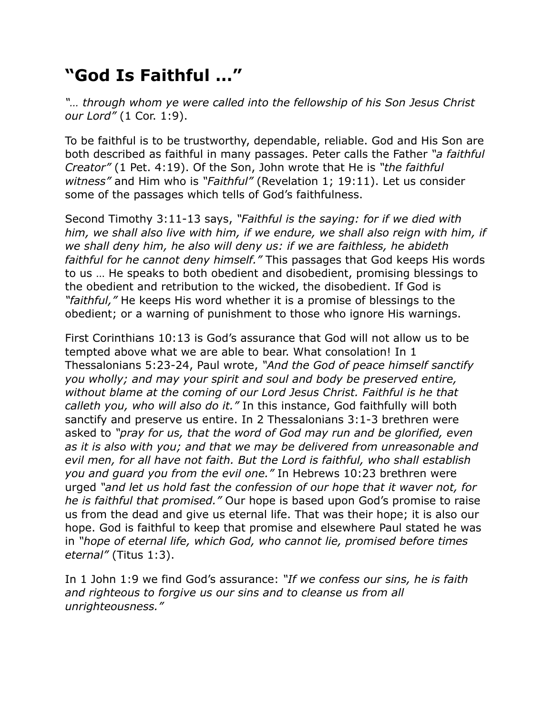## **"God Is Faithful …"**

*"… through whom ye were called into the fellowship of his Son Jesus Christ our Lord"* (1 Cor. 1:9).

To be faithful is to be trustworthy, dependable, reliable. God and His Son are both described as faithful in many passages. Peter calls the Father *"a faithful Creator"* (1 Pet. 4:19). Of the Son, John wrote that He is *"the faithful witness"* and Him who is *"Faithful"* (Revelation 1; 19:11). Let us consider some of the passages which tells of God's faithfulness.

Second Timothy 3:11-13 says, *"Faithful is the saying: for if we died with him, we shall also live with him, if we endure, we shall also reign with him, if we shall deny him, he also will deny us: if we are faithless, he abideth faithful for he cannot deny himself."* This passages that God keeps His words to us … He speaks to both obedient and disobedient, promising blessings to the obedient and retribution to the wicked, the disobedient. If God is *"faithful,"* He keeps His word whether it is a promise of blessings to the obedient; or a warning of punishment to those who ignore His warnings.

First Corinthians 10:13 is God's assurance that God will not allow us to be tempted above what we are able to bear. What consolation! In 1 Thessalonians 5:23-24, Paul wrote, *"And the God of peace himself sanctify you wholly; and may your spirit and soul and body be preserved entire, without blame at the coming of our Lord Jesus Christ. Faithful is he that calleth you, who will also do it."* In this instance, God faithfully will both sanctify and preserve us entire. In 2 Thessalonians 3:1-3 brethren were asked to *"pray for us, that the word of God may run and be glorified, even as it is also with you; and that we may be delivered from unreasonable and evil men, for all have not faith. But the Lord is faithful, who shall establish you and guard you from the evil one."* In Hebrews 10:23 brethren were urged *"and let us hold fast the confession of our hope that it waver not, for he is faithful that promised."* Our hope is based upon God's promise to raise us from the dead and give us eternal life. That was their hope; it is also our hope. God is faithful to keep that promise and elsewhere Paul stated he was in *"hope of eternal life, which God, who cannot lie, promised before times eternal"* (Titus 1:3).

In 1 John 1:9 we find God's assurance: *"If we confess our sins, he is faith and righteous to forgive us our sins and to cleanse us from all unrighteousness."*